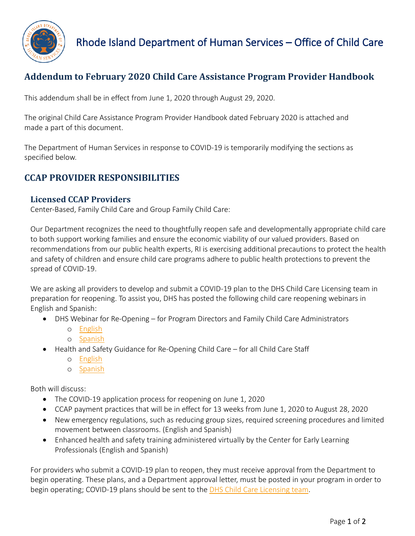

# **Addendum to February 2020 Child Care Assistance Program Provider Handbook**

This addendum shall be in effect from June 1, 2020 through August 29, 2020.

The original Child Care Assistance Program Provider Handbook dated February 2020 is attached and made a part of this document.

The Department of Human Services in response to COVID-19 is temporarily modifying the sections as specified below.

## **CCAP PROVIDER RESPONSIBILITIES**

### **Licensed CCAP Providers**

Center-Based, Family Child Care and Group Family Child Care:

Our Department recognizes the need to thoughtfully reopen safe and developmentally appropriate child care to both support working families and ensure the economic viability of our valued providers. Based on recommendations from our public health experts, RI is exercising additional precautions to protect the health and safety of children and ensure child care programs adhere to public health protections to prevent the spread of COVID-19.

We are asking all providers to develop and submit a COVID-19 plan to the DHS Child Care Licensing team in preparation for reopening. To assist you, DHS has posted the following child care reopening webinars in English and Spanish:

- DHS Webinar for Re-Opening for Program Directors and Family Child Care Administrators
	- o [English](https://center-elp.org/center-pd/dhs-mandatory-trainings-to-re-open-child-care-entrenamientos-mandatorios-de-dhs-para-la-reapertura-de-cuidado-infantil/dhs-webinar-for-re-opening-child-care-in-rhode-island-2/)
	- o [Spanish](https://center-elp.org/center-pd/dhs-mandatory-trainings-to-re-open-child-care-entrenamientos-mandatorios-de-dhs-para-la-reapertura-de-cuidado-infantil/modulo-de-dhs-sobre-la-reapertura-de-cuidado-infantil-en-rhode-island/)
- Health and Safety Guidance for Re-Opening Child Care for all Child Care Staff
	- o [English](https://center-elp.org/center-pd/dhs-mandatory-trainings-to-re-open-child-care-entrenamientos-mandatorios-de-dhs-para-la-reapertura-de-cuidado-infantil/health-and-safety-webinar-for-re-opening-child-care-during-the-covid-19-pandemic/)
	- o [Spanish](https://center-elp.org/center-pd/dhs-mandatory-trainings-to-re-open-child-care-entrenamientos-mandatorios-de-dhs-para-la-reapertura-de-cuidado-infantil/guia-de-salud-y-seguridad-para-la-reapertura-de-cuidado-infantil/)

Both will discuss:

- The COVID-19 application process for reopening on June 1, 2020
- CCAP payment practices that will be in effect for 13 weeks from June 1, 2020 to August 28, 2020
- New emergency regulations, such as reducing group sizes, required screening procedures and limited movement between classrooms. (English and Spanish)
- Enhanced health and safety training administered virtually by the Center for Early Learning Professionals (English and Spanish)

For providers who submit a COVID-19 plan to reopen, they must receive approval from the Department to begin operating. These plans, and a Department approval letter, must be posted in your program in order to begin operating; COVID-19 plans should be sent to the **DHS Child Care Licensing team**.